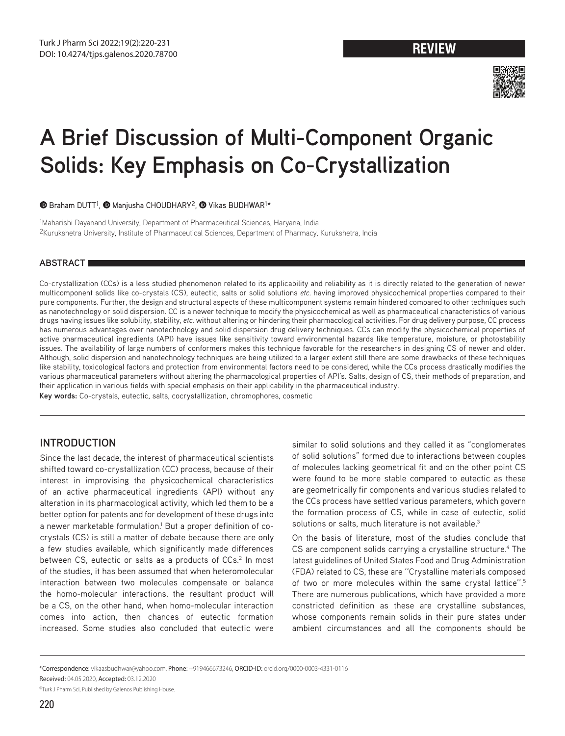

# **A Brief Discussion of Multi-Component Organic Solids: Key Emphasis on Co-Crystallization**

**B**Braham DUTT<sup>1</sup>, **@** Manjusha CHOUDHARY<sup>2</sup>, @ Vikas BUDHWAR<sup>1\*</sup>

1Maharishi Dayanand University, Department of Pharmaceutical Sciences, Haryana, India 2Kurukshetra University, Institute of Pharmaceutical Sciences, Department of Pharmacy, Kurukshetra, India

# **ABSTRACT**

Co-crystallization (CCs) is a less studied phenomenon related to its applicability and reliability as it is directly related to the generation of newer multicomponent solids like co-crystals (CS), eutectic, salts or solid solutions *etc.* having improved physicochemical properties compared to their pure components. Further, the design and structural aspects of these multicomponent systems remain hindered compared to other techniques such as nanotechnology or solid dispersion. CC is a newer technique to modify the physicochemical as well as pharmaceutical characteristics of various drugs having issues like solubility, stability, *etc.* without altering or hindering their pharmacological activities. For drug delivery purpose, CC process has numerous advantages over nanotechnology and solid dispersion drug delivery techniques. CCs can modify the physicochemical properties of active pharmaceutical ingredients (API) have issues like sensitivity toward environmental hazards like temperature, moisture, or photostability issues. The availability of large numbers of conformers makes this technique favorable for the researchers in designing CS of newer and older. Although, solid dispersion and nanotechnology techniques are being utilized to a larger extent still there are some drawbacks of these techniques like stability, toxicological factors and protection from environmental factors need to be considered, while the CCs process drastically modifies the various pharmaceutical parameters without altering the pharmacological properties of API's. Salts, design of CS, their methods of preparation, and their application in various fields with special emphasis on their applicability in the pharmaceutical industry.

**Key words:** Co-crystals, eutectic, salts, cocrystallization, chromophores, cosmetic

# **INTRODUCTION**

Since the last decade, the interest of pharmaceutical scientists shifted toward co-crystallization (CC) process, because of their interest in improvising the physicochemical characteristics of an active pharmaceutical ingredients (API) without any alteration in its pharmacological activity, which led them to be a better option for patents and for development of these drugs into a newer marketable formulation.<sup>1</sup> But a proper definition of cocrystals (CS) is still a matter of debate because there are only a few studies available, which significantly made differences between CS, eutectic or salts as a products of CCs.<sup>2</sup> In most of the studies, it has been assumed that when heteromolecular interaction between two molecules compensate or balance the homo-molecular interactions, the resultant product will be a CS, on the other hand, when homo-molecular interaction comes into action, then chances of eutectic formation increased. Some studies also concluded that eutectic were similar to solid solutions and they called it as "conglomerates of solid solutions" formed due to interactions between couples of molecules lacking geometrical fit and on the other point CS were found to be more stable compared to eutectic as these are geometrically fir components and various studies related to the CCs process have settled various parameters, which govern the formation process of CS, while in case of eutectic, solid solutions or salts, much literature is not available.<sup>3</sup>

On the basis of literature, most of the studies conclude that CS are component solids carrying a crystalline structure.<sup>4</sup> The latest guidelines of United States Food and Drug Administration (FDA) related to CS, these are ''Crystalline materials composed of two or more molecules within the same crystal lattice''.5 There are numerous publications, which have provided a more constricted definition as these are crystalline substances, whose components remain solids in their pure states under ambient circumstances and all the components should be

\*Correspondence: vikaasbudhwar@yahoo.com, Phone: +919466673246, ORCID-ID: orcid.org/0000-0003-4331-0116

Received: 04.05.2020, Accepted: 03.12.2020

©Turk J Pharm Sci, Published by Galenos Publishing House.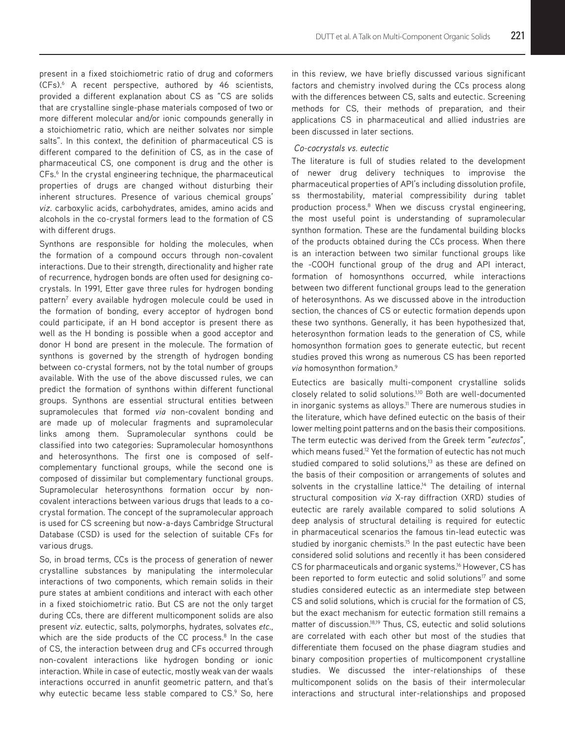present in a fixed stoichiometric ratio of drug and coformers (CFs).6 A recent perspective, authored by 46 scientists, provided a different explanation about CS as "CS are solids that are crystalline single-phase materials composed of two or more different molecular and/or ionic compounds generally in a stoichiometric ratio, which are neither solvates nor simple salts". In this context, the definition of pharmaceutical CS is different compared to the definition of CS, as in the case of pharmaceutical CS, one component is drug and the other is CFs.<sup>6</sup> In the crystal engineering technique, the pharmaceutical properties of drugs are changed without disturbing their inherent structures. Presence of various chemical groups' *viz*. carboxylic acids, carbohydrates, amides, amino acids and alcohols in the co-crystal formers lead to the formation of CS with different drugs.

Synthons are responsible for holding the molecules, when the formation of a compound occurs through non-covalent interactions. Due to their strength, directionality and higher rate of recurrence, hydrogen bonds are often used for designing cocrystals. In 1991, Etter gave three rules for hydrogen bonding pattern<sup>7</sup> every available hydrogen molecule could be used in the formation of bonding, every acceptor of hydrogen bond could participate, if an H bond acceptor is present there as well as the H bonding is possible when a good acceptor and donor H bond are present in the molecule. The formation of synthons is governed by the strength of hydrogen bonding between co-crystal formers, not by the total number of groups available. With the use of the above discussed rules, we can predict the formation of synthons within different functional groups. Synthons are essential structural entities between supramolecules that formed *via* non-covalent bonding and are made up of molecular fragments and supramolecular links among them. Supramolecular synthons could be classified into two categories: Supramolecular homosynthons and heterosynthons. The first one is composed of selfcomplementary functional groups, while the second one is composed of dissimilar but complementary functional groups. Supramolecular heterosynthons formation occur by noncovalent interactions between various drugs that leads to a cocrystal formation. The concept of the supramolecular approach is used for CS screening but now-a-days Cambridge Structural Database (CSD) is used for the selection of suitable CFs for various drugs.

So, in broad terms, CCs is the process of generation of newer crystalline substances by manipulating the intermolecular interactions of two components, which remain solids in their pure states at ambient conditions and interact with each other in a fixed stoichiometric ratio. But CS are not the only target during CCs, there are different multicomponent solids are also present *viz*. eutectic, salts, polymorphs, hydrates, solvates *etc*., which are the side products of the CC process.<sup>8</sup> In the case of CS, the interaction between drug and CFs occurred through non-covalent interactions like hydrogen bonding or ionic interaction. While in case of eutectic, mostly weak van der waals interactions occurred in anunfit geometric pattern, and that's why eutectic became less stable compared to CS.<sup>9</sup> So, here in this review, we have briefly discussed various significant factors and chemistry involved during the CCs process along with the differences between CS, salts and eutectic. Screening methods for CS, their methods of preparation, and their applications CS in pharmaceutical and allied industries are been discussed in later sections.

#### *Co-cocrystals vs. eutectic*

The literature is full of studies related to the development of newer drug delivery techniques to improvise the pharmaceutical properties of API's including dissolution profile, ss thermostability, material compressibility during tablet production process.<sup>8</sup> When we discuss crystal engineering, the most useful point is understanding of supramolecular synthon formation. These are the fundamental building blocks of the products obtained during the CCs process. When there is an interaction between two similar functional groups like the -COOH functional group of the drug and API interact, formation of homosynthons occurred, while interactions between two different functional groups lead to the generation of heterosynthons. As we discussed above in the introduction section, the chances of CS or eutectic formation depends upon these two synthons. Generally, it has been hypothesized that, heterosynthon formation leads to the generation of CS, while homosynthon formation goes to generate eutectic, but recent studies proved this wrong as numerous CS has been reported *via* homosynthon formation.9

Eutectics are basically multi-component crystalline solids closely related to solid solutions.<sup>1,10</sup> Both are well-documented in inorganic systems as alloys.<sup>11</sup> There are numerous studies in the literature, which have defined eutectic on the basis of their lower melting point patterns and on the basis their compositions. The term eutectic was derived from the Greek term "*eutectos*", which means fused.<sup>12</sup> Yet the formation of eutectic has not much studied compared to solid solutions,<sup>13</sup> as these are defined on the basis of their composition or arrangements of solutes and solvents in the crystalline lattice.<sup>14</sup> The detailing of internal structural composition *via* X-ray diffraction (XRD) studies of eutectic are rarely available compared to solid solutions A deep analysis of structural detailing is required for eutectic in pharmaceutical scenarios the famous tin-lead eutectic was studied by inorganic chemists.<sup>15</sup> In the past eutectic have been considered solid solutions and recently it has been considered CS for pharmaceuticals and organic systems.<sup>16</sup> However, CS has been reported to form eutectic and solid solutions<sup>17</sup> and some studies considered eutectic as an intermediate step between CS and solid solutions, which is crucial for the formation of CS, but the exact mechanism for eutectic formation still remains a matter of discussion.<sup>18,19</sup> Thus, CS, eutectic and solid solutions are correlated with each other but most of the studies that differentiate them focused on the phase diagram studies and binary composition properties of multicomponent crystalline studies. We discussed the inter-relationships of these multicomponent solids on the basis of their intermolecular interactions and structural inter-relationships and proposed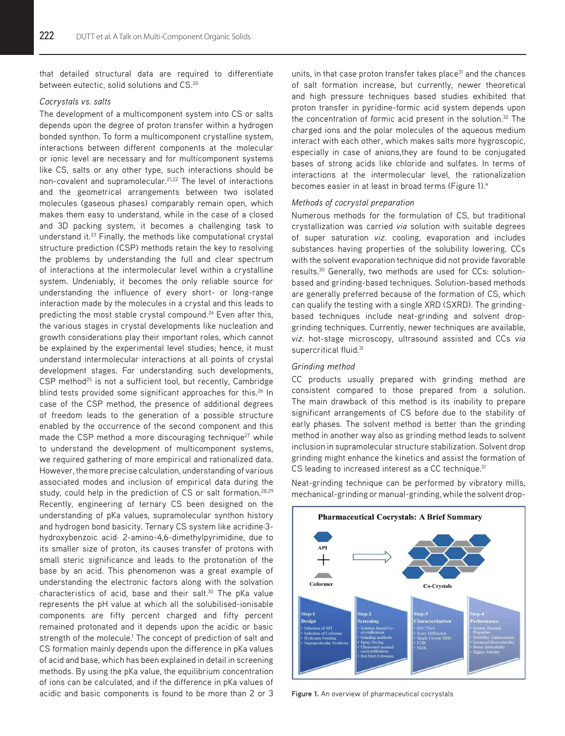that detailed structural data are required to differentiate between eutectic, solid solutions and CS.<sup>20</sup>

#### *Cocrystals vs. salts*

The development of a multicomponent system into CS or salts depends upon the degree of proton transfer within a hydrogen bonded synthon. To form a multicomponent crystalline system, interactions between different components at the molecular or ionic level are necessary and for multicomponent systems like CS, salts or any other type, such interactions should be non-covalent and supramolecular.<sup>21,22</sup> The level of interactions and the geometrical arrangements between two isolated molecules (gaseous phases) comparably remain open, which makes them easy to understand, while in the case of a closed and 3D packing system, it becomes a challenging task to understand it.<sup>23</sup> Finally, the methods like computational crystal structure prediction (CSP) methods retain the key to resolving the problems by understanding the full and clear spectrum of interactions at the intermolecular level within a crystalline system. Undeniably, it becomes the only reliable source for understanding the influence of every short- or long-range interaction made by the molecules in a crystal and this leads to predicting the most stable crystal compound.<sup>24</sup> Even after this, the various stages in crystal developments like nucleation and growth considerations play their important roles, which cannot be explained by the experimental level studies; hence, it must understand intermolecular interactions at all points of crystal development stages. For understanding such developments, CSP method<sup>25</sup> is not a sufficient tool, but recently, Cambridge blind tests provided some significant approaches for this.<sup>26</sup> In case of the CSP method, the presence of additional degrees of freedom leads to the generation of a possible structure enabled by the occurrence of the second component and this made the CSP method a more discouraging technique<sup>27</sup> while to understand the development of multicomponent systems, we required gathering of more empirical and rationalized data. However, the more precise calculation, understanding of various associated modes and inclusion of empirical data during the study, could help in the prediction of CS or salt formation.<sup>28,29</sup> Recently, engineering of ternary CS been designed on the understanding of pKa values, supramolecular synthon history and hydrogen bond basicity. Ternary CS system like acridine·3 hydroxybenzoic acid· 2-amino-4,6-dimethylpyrimidine, due to its smaller size of proton, its causes transfer of protons with small steric significance and leads to the protonation of the base by an acid. This phenomenon was a great example of understanding the electronic factors along with the solvation characteristics of acid, base and their salt.<sup>30</sup> The pKa value represents the pH value at which all the solubilised-ionisable components are fifty percent charged and fifty percent remained protonated and it depends upon the acidic or basic strength of the molecule.<sup>1</sup> The concept of prediction of salt and CS formation mainly depends upon the difference in pKa values of acid and base, which has been explained in detail in screening methods. By using the pKa value, the equilibrium concentration of ions can be calculated, and if the difference in pKa values of acidic and basic components is found to be more than 2 or 3 units, in that case proton transfer takes place<sup>31</sup> and the chances of salt formation increase, but currently, newer theoretical and high pressure techniques based studies exhibited that proton transfer in pyridine-formic acid system depends upon the concentration of formic acid present in the solution.<sup>32</sup> The charged ions and the polar molecules of the aqueous medium interact with each other, which makes salts more hygroscopic, especially in case of anions,they are found to be conjugated bases of strong acids like chloride and sulfates. In terms of interactions at the intermolecular level, the rationalization becomes easier in at least in broad terms (Figure 1).4

## *Methods of cocrystal preparation*

Numerous methods for the formulation of CS, but traditional crystallization was carried *via* solution with suitable degrees of super saturation *viz*. cooling, evaporation and includes substances having properties of the solubility lowering. CCs with the solvent evaporation technique did not provide favorable results.<sup>30</sup> Generally, two methods are used for CCs: solutionbased and grinding-based techniques. Solution-based methods are generally preferred because of the formation of CS, which can qualify the testing with a single XRD (SXRD). The grindingbased techniques include neat-grinding and solvent dropgrinding techniques. Currently, newer techniques are available, *viz*. hot-stage microscopy, ultrasound assisted and CCs *via* supercritical fluid.<sup>31</sup>

#### *Grinding method*

CC products usually prepared with grinding method are consistent compared to those prepared from a solution. The main drawback of this method is its inability to prepare significant arrangements of CS before due to the stability of early phases. The solvent method is better than the grinding method in another way also as grinding method leads to solvent inclusion in supramolecular structure stabilization. Solvent drop grinding might enhance the kinetics and assist the formation of CS leading to increased interest as a CC technique.<sup>31</sup>

Neat-grinding technique can be performed by vibratory mills, mechanical-grinding or manual-grinding, while the solvent drop-



**Figure 1.** An overview of pharmaceutical cocrystals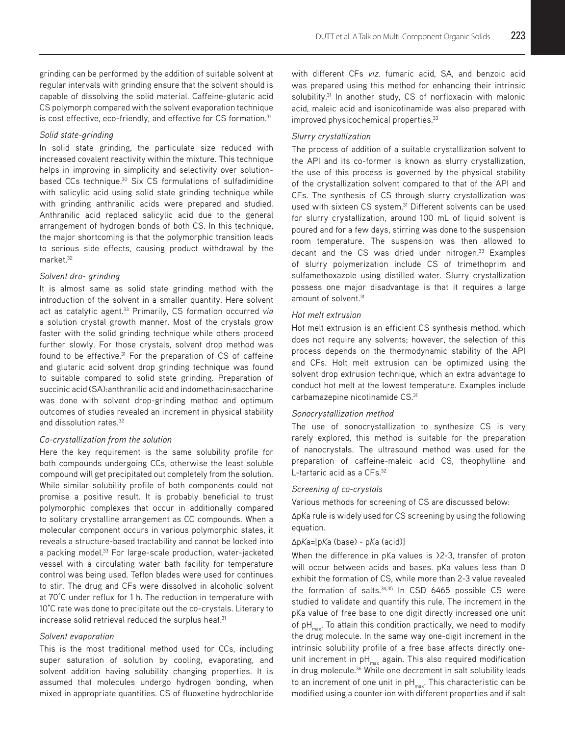grinding can be performed by the addition of suitable solvent at regular intervals with grinding ensure that the solvent should is capable of dissolving the solid material. Caffeine-glutaric acid CS polymorph compared with the solvent evaporation technique is cost effective, eco-friendly, and effective for CS formation.<sup>31</sup>

#### *Solid state-grinding*

In solid state grinding, the particulate size reduced with increased covalent reactivity within the mixture. This technique helps in improving in simplicity and selectivity over solutionbased CCs technique.<sup>30</sup> Six CS formulations of sulfadimidine with salicylic acid using solid state grinding technique while with grinding anthranilic acids were prepared and studied. Anthranilic acid replaced salicylic acid due to the general arrangement of hydrogen bonds of both CS. In this technique, the major shortcoming is that the polymorphic transition leads to serious side effects, causing product withdrawal by the market.32

#### *Solvent dro- grinding*

It is almost same as solid state grinding method with the introduction of the solvent in a smaller quantity. Here solvent act as catalytic agent.33 Primarily, CS formation occurred *via*  a solution crystal growth manner. Most of the crystals grow faster with the solid grinding technique while others proceed further slowly. For those crystals, solvent drop method was found to be effective.<sup>31</sup> For the preparation of CS of caffeine and glutaric acid solvent drop grinding technique was found to suitable compared to solid state grinding. Preparation of succinic acid (SA):anthranilic acid and indomethacin:saccharine was done with solvent drop-grinding method and optimum outcomes of studies revealed an increment in physical stability and dissolution rates.<sup>32</sup>

#### *Co-crystallization from the solution*

Here the key requirement is the same solubility profile for both compounds undergoing CCs, otherwise the least soluble compound will get precipitated out completely from the solution. While similar solubility profile of both components could not promise a positive result. It is probably beneficial to trust polymorphic complexes that occur in additionally compared to solitary crystalline arrangement as CC compounds. When a molecular component occurs in various polymorphic states, it reveals a structure-based tractability and cannot be locked into a packing model.<sup>33</sup> For large-scale production, water-jacketed vessel with a circulating water bath facility for temperature control was being used. Teflon blades were used for continues to stir. The drug and CFs were dissolved in alcoholic solvent at 70°C under reflux for 1 h. The reduction in temperature with 10°C rate was done to precipitate out the co-crystals. Literary to increase solid retrieval reduced the surplus heat.<sup>31</sup>

## *Solvent evaporation*

This is the most traditional method used for CCs, including super saturation of solution by cooling, evaporating, and solvent addition having solubility changing properties. It is assumed that molecules undergo hydrogen bonding, when mixed in appropriate quantities. CS of fluoxetine hydrochloride

with different CFs *viz*. fumaric acid, SA, and benzoic acid was prepared using this method for enhancing their intrinsic solubility.<sup>31</sup> In another study, CS of norfloxacin with malonic acid, maleic acid and isonicotinamide was also prepared with improved physicochemical properties.33

## *Slurry crystallization*

The process of addition of a suitable crystallization solvent to the API and its co-former is known as slurry crystallization, the use of this process is governed by the physical stability of the crystallization solvent compared to that of the API and CFs. The synthesis of CS through slurry crystallization was used with sixteen CS system.<sup>31</sup> Different solvents can be used for slurry crystallization, around 100 mL of liquid solvent is poured and for a few days, stirring was done to the suspension room temperature. The suspension was then allowed to decant and the CS was dried under nitrogen.<sup>33</sup> Examples of slurry polymerization include CS of trimethoprim and sulfamethoxazole using distilled water. Slurry crystallization possess one major disadvantage is that it requires a large amount of solvent.<sup>31</sup>

#### *Hot melt extrusion*

Hot melt extrusion is an efficient CS synthesis method, which does not require any solvents; however, the selection of this process depends on the thermodynamic stability of the API and CFs. Holt melt extrusion can be optimized using the solvent drop extrusion technique, which an extra advantage to conduct hot melt at the lowest temperature. Examples include carbamazepine nicotinamide CS.<sup>31</sup>

#### *Sonocrystallization method*

The use of sonocrystallization to synthesize CS is very rarely explored, this method is suitable for the preparation of nanocrystals. The ultrasound method was used for the preparation of caffeine-maleic acid CS, theophylline and L-tartaric acid as a CFs.<sup>32</sup>

#### *Screening of co-crystals*

Various methods for screening of CS are discussed below:

ΔpKa rule is widely used for CS screening by using the following equation.

## Δp*K*a=[p*K*a (base) - p*K*a (acid)]

When the difference in pKa values is  $>2-3$ , transfer of proton will occur between acids and bases. pKa values less than 0 exhibit the formation of CS, while more than 2-3 value revealed the formation of salts.<sup>34,35</sup> In CSD 6465 possible CS were studied to validate and quantify this rule. The increment in the pKa value of free base to one digit directly increased one unit of  $pH_{\text{max}}$ . To attain this condition practically, we need to modify the drug molecule. In the same way one-digit increment in the intrinsic solubility profile of a free base affects directly oneunit increment in  $pH_{max}$  again. This also required modification in drug molecule.<sup>36</sup> While one decrement in salt solubility leads to an increment of one unit in  $pH_{max}$ . This characteristic can be modified using a counter ion with different properties and if salt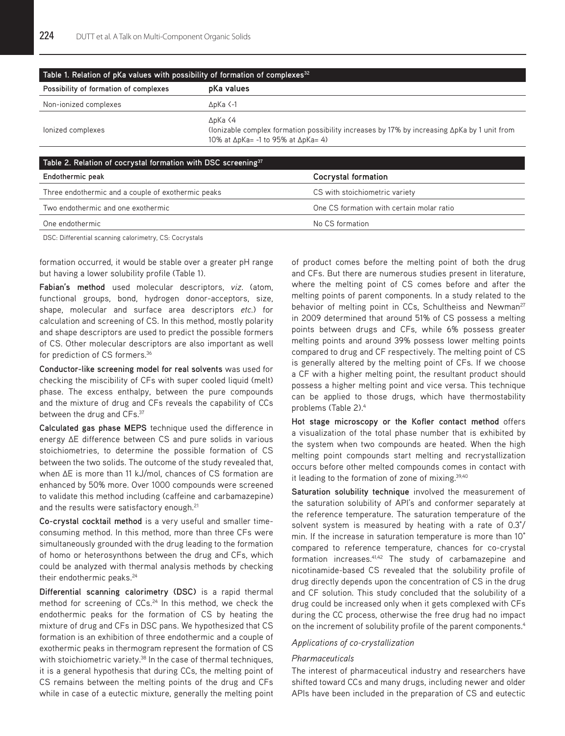| Table 1. Relation of pKa values with possibility of formation of complexes $^{32}$ |                                                                                                                                                                         |  |  |  |  |
|------------------------------------------------------------------------------------|-------------------------------------------------------------------------------------------------------------------------------------------------------------------------|--|--|--|--|
| Possibility of formation of complexes                                              | pKa values                                                                                                                                                              |  |  |  |  |
| Non-ionized complexes                                                              | $\Delta$ <sub>D</sub> Ka $\leq$ -1                                                                                                                                      |  |  |  |  |
| lonized complexes                                                                  | ∆pKa ⟨4<br>(lonizable complex formation possibility increases by 17% by increasing $\Delta p$ Ka by 1 unit from<br>10% at $\Delta p$ Ka= -1 to 95% at $\Delta p$ Ka= 4) |  |  |  |  |

| Table 2. Relation of cocrystal formation with DSC screening <sup>37</sup> |                                           |  |  |  |  |
|---------------------------------------------------------------------------|-------------------------------------------|--|--|--|--|
| Endothermic peak                                                          | Cocrystal formation                       |  |  |  |  |
| Three endothermic and a couple of exothermic peaks                        | CS with stoichiometric variety            |  |  |  |  |
| Two endothermic and one exothermic                                        | One CS formation with certain molar ratio |  |  |  |  |
| One endothermic                                                           | No CS formation                           |  |  |  |  |
|                                                                           |                                           |  |  |  |  |

DSC: Differential scanning calorimetry, CS: Cocrystals

formation occurred, it would be stable over a greater pH range but having a lower solubility profile (Table 1).

**Fabian's method** used molecular descriptors, *viz*. (atom, functional groups, bond, hydrogen donor-acceptors, size, shape, molecular and surface area descriptors *etc*.) for calculation and screening of CS. In this method, mostly polarity and shape descriptors are used to predict the possible formers of CS. Other molecular descriptors are also important as well for prediction of CS formers.36

**Conductor-like screening model for real solvents** was used for checking the miscibility of CFs with super cooled liquid (melt) phase. The excess enthalpy, between the pure compounds and the mixture of drug and CFs reveals the capability of CCs between the drug and CFs.<sup>37</sup>

**Calculated gas phase MEPS** technique used the difference in energy ΔE difference between CS and pure solids in various stoichiometries, to determine the possible formation of CS between the two solids. The outcome of the study revealed that, when ΔE is more than 11 kJ/mol, chances of CS formation are enhanced by 50% more. Over 1000 compounds were screened to validate this method including (caffeine and carbamazepine) and the results were satisfactory enough.<sup>21</sup>

**Co-crystal cocktail method** is a very useful and smaller timeconsuming method. In this method, more than three CFs were simultaneously grounded with the drug leading to the formation of homo or heterosynthons between the drug and CFs, which could be analyzed with thermal analysis methods by checking their endothermic peaks.<sup>24</sup>

**Differential scanning calorimetry (DSC)** is a rapid thermal method for screening of CCs.<sup>24</sup> In this method, we check the endothermic peaks for the formation of CS by heating the mixture of drug and CFs in DSC pans. We hypothesized that CS formation is an exhibition of three endothermic and a couple of exothermic peaks in thermogram represent the formation of CS with stoichiometric variety.<sup>38</sup> In the case of thermal techniques, it is a general hypothesis that during CCs, the melting point of CS remains between the melting points of the drug and CFs while in case of a eutectic mixture, generally the melting point

of product comes before the melting point of both the drug and CFs. But there are numerous studies present in literature, where the melting point of CS comes before and after the melting points of parent components. In a study related to the behavior of melting point in CCs, Schultheiss and Newman<sup>27</sup> in 2009 determined that around 51% of CS possess a melting points between drugs and CFs, while 6% possess greater melting points and around 39% possess lower melting points compared to drug and CF respectively. The melting point of CS is generally altered by the melting point of CFs. If we choose a CF with a higher melting point, the resultant product should possess a higher melting point and vice versa. This technique can be applied to those drugs, which have thermostability problems (Table 2).4

**Hot stage microscopy or the Kofler contact method** offers a visualization of the total phase number that is exhibited by the system when two compounds are heated. When the high melting point compounds start melting and recrystallization occurs before other melted compounds comes in contact with it leading to the formation of zone of mixing.39,40

**Saturation solubility technique** involved the measurement of the saturation solubility of API's and conformer separately at the reference temperature. The saturation temperature of the solvent system is measured by heating with a rate of 0.3°/ min. If the increase in saturation temperature is more than 10° compared to reference temperature, chances for co-crystal formation increases.<sup>41,42</sup> The study of carbamazepine and nicotinamide-based CS revealed that the solubility profile of drug directly depends upon the concentration of CS in the drug and CF solution. This study concluded that the solubility of a drug could be increased only when it gets complexed with CFs during the CC process, otherwise the free drug had no impact on the increment of solubility profile of the parent components.<sup>4</sup>

## *Applications of co-crystallization*

#### *Pharmaceuticals*

The interest of pharmaceutical industry and researchers have shifted toward CCs and many drugs, including newer and older APIs have been included in the preparation of CS and eutectic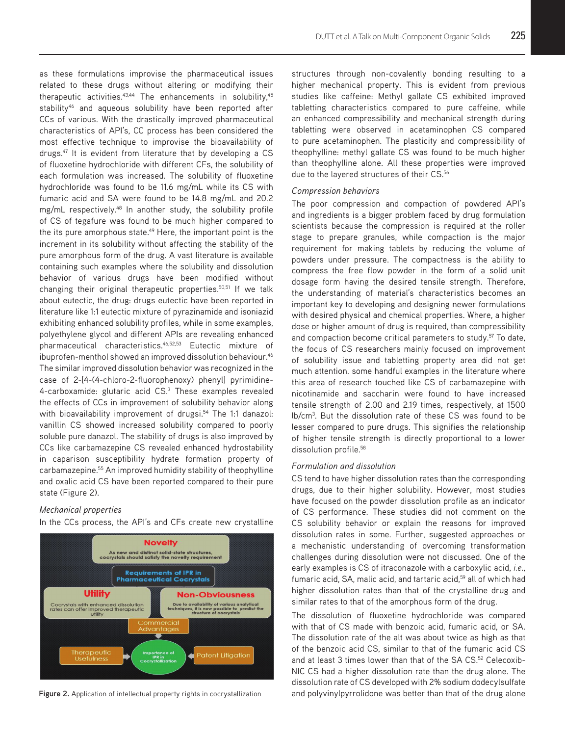as these formulations improvise the pharmaceutical issues related to these drugs without altering or modifying their therapeutic activities. $43,44$  The enhancements in solubility, $45$ stability<sup>46</sup> and aqueous solubility have been reported after CCs of various. With the drastically improved pharmaceutical characteristics of API's, CC process has been considered the most effective technique to improvise the bioavailability of drugs.<sup>47</sup> It is evident from literature that by developing a CS of fluoxetine hydrochloride with different CFs, the solubility of each formulation was increased. The solubility of fluoxetine hydrochloride was found to be 11.6 mg/mL while its CS with fumaric acid and SA were found to be 14.8 mg/mL and 20.2 mg/mL respectively.48 In another study, the solubility profile of CS of tegafure was found to be much higher compared to the its pure amorphous state.<sup>49</sup> Here, the important point is the increment in its solubility without affecting the stability of the pure amorphous form of the drug. A vast literature is available containing such examples where the solubility and dissolution behavior of various drugs have been modified without changing their original therapeutic properties.<sup>50,51</sup> If we talk about eutectic, the drug: drugs eutectic have been reported in literature like 1:1 eutectic mixture of pyrazinamide and isoniazid exhibiting enhanced solubility profiles, while in some examples, polyethylene glycol and different APIs are revealing enhanced pharmaceutical characteristics.46,52,53 Eutectic mixture of ibuprofen-menthol showed an improved dissolution behaviour.<sup>46</sup> The similar improved dissolution behavior was recognized in the case of 2-[4-(4-chloro-2-fluorophenoxy) phenyl] pyrimidine-4-carboxamide: glutaric acid CS.3 These examples revealed the effects of CCs in improvement of solubility behavior along with bioavailability improvement of drugsi.<sup>54</sup> The 1:1 danazol: vanillin CS showed increased solubility compared to poorly soluble pure danazol. The stability of drugs is also improved by CCs like carbamazepine CS revealed enhanced hydrostability in caparison susceptibility hydrate formation property of carbamazepine.<sup>55</sup> An improved humidity stability of theophylline and oxalic acid CS have been reported compared to their pure state (Figure 2).

## *Mechanical properties*

In the CCs process, the API's and CFs create new crystalline



structures through non-covalently bonding resulting to a higher mechanical property. This is evident from previous studies like caffeine: Methyl gallate CS exhibited improved tabletting characteristics compared to pure caffeine, while an enhanced compressibility and mechanical strength during tabletting were observed in acetaminophen CS compared to pure acetaminophen. The plasticity and compressibility of theophylline: methyl gallate CS was found to be much higher than theophylline alone. All these properties were improved due to the layered structures of their CS.<sup>56</sup>

#### *Compression behaviors*

The poor compression and compaction of powdered API's and ingredients is a bigger problem faced by drug formulation scientists because the compression is required at the roller stage to prepare granules, while compaction is the major requirement for making tablets by reducing the volume of powders under pressure. The compactness is the ability to compress the free flow powder in the form of a solid unit dosage form having the desired tensile strength. Therefore, the understanding of material's characteristics becomes an important key to developing and designing newer formulations with desired physical and chemical properties. Where, a higher dose or higher amount of drug is required, than compressibility and compaction become critical parameters to study.<sup>57</sup> To date, the focus of CS researchers mainly focused on improvement of solubility issue and tabletting property area did not get much attention. some handful examples in the literature where this area of research touched like CS of carbamazepine with nicotinamide and saccharin were found to have increased tensile strength of 2.00 and 2.19 times, respectively, at 1500 lb/cm3 . But the dissolution rate of these CS was found to be lesser compared to pure drugs. This signifies the relationship of higher tensile strength is directly proportional to a lower dissolution profile.<sup>58</sup>

#### *Formulation and dissolution*

CS tend to have higher dissolution rates than the corresponding drugs, due to their higher solubility. However, most studies have focused on the powder dissolution profile as an indicator of CS performance. These studies did not comment on the CS solubility behavior or explain the reasons for improved dissolution rates in some. Further, suggested approaches or a mechanistic understanding of overcoming transformation challenges during dissolution were not discussed. One of the early examples is CS of itraconazole with a carboxylic acid, *i.e*., fumaric acid, SA, malic acid, and tartaric acid,<sup>59</sup> all of which had higher dissolution rates than that of the crystalline drug and similar rates to that of the amorphous form of the drug.

The dissolution of fluoxetine hydrochloride was compared with that of CS made with benzoic acid, fumaric acid, or SA. The dissolution rate of the alt was about twice as high as that of the benzoic acid CS, similar to that of the fumaric acid CS and at least 3 times lower than that of the SA CS.<sup>52</sup> Celecoxib-NIC CS had a higher dissolution rate than the drug alone. The dissolution rate of CS developed with 2% sodium dodecylsulfate Figure 2. Application of intellectual property rights in cocrystallization and polyvinylpyrrolidone was better than that of the drug alone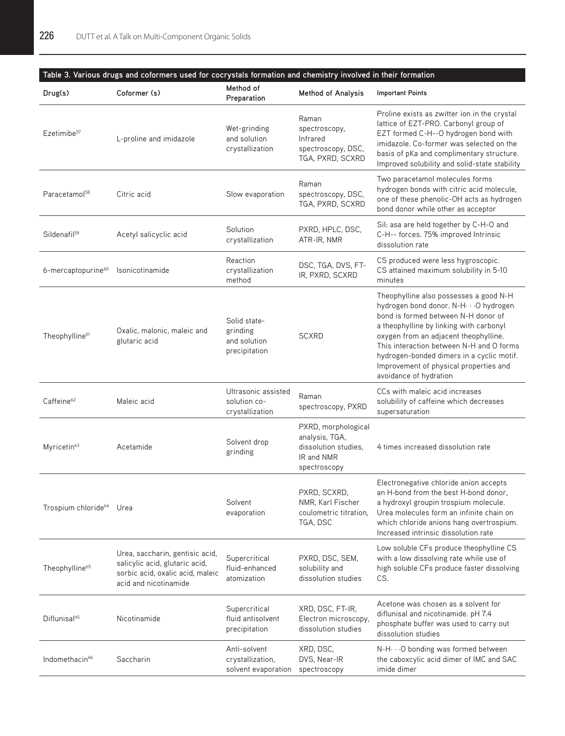# **Table 3. Various drugs and coformers used for cocrystals formation and chemistry involved in their formation**

| Drug(s)                              | Coformer (s)                                                                                                                   | Method of<br>Preparation                                  | <b>Method of Analysis</b>                                                                   | <b>Important Points</b>                                                                                                                                                                                                                                                                                                                                                     |
|--------------------------------------|--------------------------------------------------------------------------------------------------------------------------------|-----------------------------------------------------------|---------------------------------------------------------------------------------------------|-----------------------------------------------------------------------------------------------------------------------------------------------------------------------------------------------------------------------------------------------------------------------------------------------------------------------------------------------------------------------------|
| Ezetimibe <sup>57</sup>              | L-proline and imidazole                                                                                                        | Wet-grinding<br>and solution<br>crystallization           | Raman<br>spectroscopy,<br>Infrared<br>spectroscopy, DSC,<br>TGA, PXRD, SCXRD                | Proline exists as zwitter ion in the crystal<br>lattice of EZT-PRO. Carbonyl group of<br>EZT formed C-H--O hydrogen bond with<br>imidazole. Co-former was selected on the<br>basis of pKa and complimentary structure.<br>Improved solubility and solid-state stability                                                                                                     |
| Paracetamol <sup>58</sup>            | Citric acid                                                                                                                    | Slow evaporation                                          | Raman<br>spectroscopy, DSC,<br>TGA, PXRD, SCXRD                                             | Two paracetamol molecules forms<br>hydrogen bonds with citric acid molecule,<br>one of these phenolic-OH acts as hydrogen<br>bond donor while other as acceptor                                                                                                                                                                                                             |
| Sildenafil <sup>59</sup>             | Acetyl salicyclic acid                                                                                                         | Solution<br>crystallization                               | PXRD, HPLC, DSC,<br>ATR-IR, NMR                                                             | Sil: asa are held together by C-H-O and<br>C-H-- forces. 75% improved Intrinsic<br>dissolution rate                                                                                                                                                                                                                                                                         |
| 6-mercaptopurine <sup>60</sup>       | Isonicotinamide                                                                                                                | Reaction<br>crystallization<br>method                     | DSC, TGA, DVS, FT-<br>IR, PXRD, SCXRD                                                       | CS produced were less hygroscopic.<br>CS attained maximum solubility in 5-10<br>minutes                                                                                                                                                                                                                                                                                     |
| Theophylline <sup>61</sup>           | Oxalic, malonic, maleic and<br>glutaric acid                                                                                   | Solid state-<br>grinding<br>and solution<br>precipitation | <b>SCXRD</b>                                                                                | Theophylline also possesses a good N-H<br>hydrogen bond donor. N-H · · · O hydrogen<br>bond is formed between N-H donor of<br>a theophylline by linking with carbonyl<br>oxygen from an adjacent theophylline.<br>This interaction between N-H and O forms<br>hydrogen-bonded dimers in a cyclic motif.<br>Improvement of physical properties and<br>avoidance of hydration |
| Caffeine <sup>62</sup>               | Maleic acid                                                                                                                    | Ultrasonic assisted<br>solution co-<br>crystallization    | Raman<br>spectroscopy, PXRD                                                                 | CCs with maleic acid increases<br>solubility of caffeine which decreases<br>supersaturation                                                                                                                                                                                                                                                                                 |
| Myricetin <sup>63</sup>              | Acetamide                                                                                                                      | Solvent drop<br>grinding                                  | PXRD, morphological<br>analysis, TGA,<br>dissolution studies.<br>IR and NMR<br>spectroscopy | 4 times increased dissolution rate                                                                                                                                                                                                                                                                                                                                          |
| Trospium chloride <sup>64</sup> Urea |                                                                                                                                | Solvent<br>evaporation                                    | PXRD, SCXRD,<br>NMR, Karl Fischer<br>coulometric titration.<br>TGA, DSC                     | Electronegative chloride anion accepts<br>an H-bond from the best H-bond donor,<br>a hydroxyl groupin trospium molecule.<br>Urea molecules form an infinite chain on<br>which chloride anions hang overtrospium.<br>Increased intrinsic dissolution rate                                                                                                                    |
| Theophylline <sup>65</sup>           | Urea, saccharin, gentisic acid,<br>salicylic acid, glutaric acid,<br>sorbic acid, oxalic acid, maleic<br>acid and nicotinamide | Supercritical<br>fluid-enhanced<br>atomization            | PXRD, DSC, SEM,<br>solubility and<br>dissolution studies                                    | Low soluble CFs produce theophylline CS<br>with a low dissolving rate while use of<br>high soluble CFs produce faster dissolving<br>CS.                                                                                                                                                                                                                                     |
| Diflunisal <sup>45</sup>             | Nicotinamide                                                                                                                   | Supercritical<br>fluid antisolvent<br>precipitation       | XRD, DSC, FT-IR,<br>Electron microscopy,<br>dissolution studies                             | Acetone was chosen as a solvent for<br>diflunisal and nicotinamide. pH 7.4<br>phosphate buffer was used to carry out<br>dissolution studies                                                                                                                                                                                                                                 |
| Indomethacin <sup>66</sup>           | Saccharin                                                                                                                      | Anti-solvent<br>crystallization,<br>solvent evaporation   | XRD, DSC,<br>DVS, Near-IR<br>spectroscopy                                                   | $N-H\cdots O$ bonding was formed between<br>the caboxcylic acid dimer of IMC and SAC<br>imide dimer                                                                                                                                                                                                                                                                         |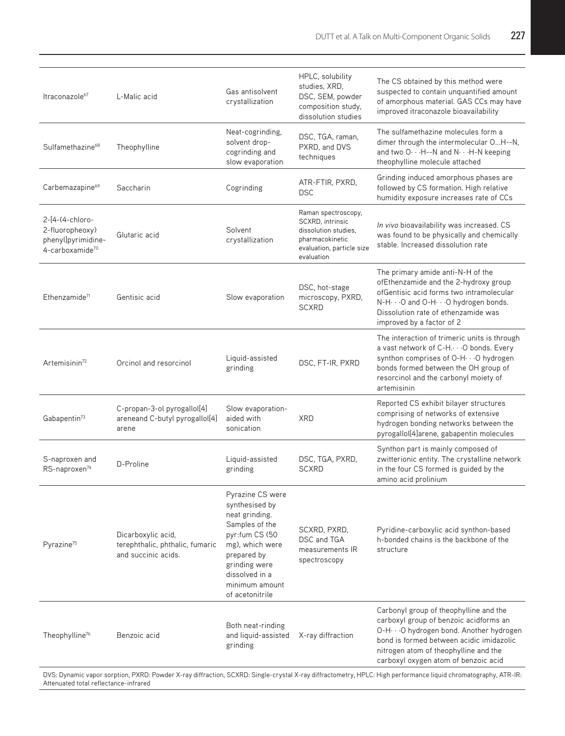| Itraconazole <sup>67</sup>                                                  | L-Malic acid                                                                 | Gas antisolvent<br>crystallization                                                                                                                                                                 | HPLC, solubility<br>studies, XRD,<br>DSC, SEM, powder<br>composition study,<br>dissolution studies                            | The CS obtained by this method were<br>suspected to contain unquantified amount<br>of amorphous material. GAS CCs may have<br>improved itraconazole bioavailability                                                                                         |  |  |
|-----------------------------------------------------------------------------|------------------------------------------------------------------------------|----------------------------------------------------------------------------------------------------------------------------------------------------------------------------------------------------|-------------------------------------------------------------------------------------------------------------------------------|-------------------------------------------------------------------------------------------------------------------------------------------------------------------------------------------------------------------------------------------------------------|--|--|
| Sulfamethazine <sup>68</sup>                                                | Theophylline                                                                 | Neat-cogrinding,<br>solvent drop-<br>cogrinding and<br>slow evaporation                                                                                                                            | DSC, TGA, raman,<br>PXRD, and DVS<br>techniques                                                                               | The sulfamethazine molecules form a<br>dimer through the intermolecular OH--N,<br>and two O··· H--N and N··· H-N keeping<br>theophylline molecule attached                                                                                                  |  |  |
| Carbemazapine <sup>69</sup>                                                 | Saccharin                                                                    | Cogrinding                                                                                                                                                                                         | ATR-FTIR, PXRD,<br><b>DSC</b>                                                                                                 | Grinding induced amorphous phases are<br>followed by CS formation. High relative<br>humidity exposure increases rate of CCs                                                                                                                                 |  |  |
| 2-[4-(4-chloro-<br>2-fluoropheoxy)<br>phenyl]pyrimidine-<br>4-carboxamide70 | Glutaric acid                                                                | Solvent<br>crystallization                                                                                                                                                                         | Raman spectroscopy,<br>SCXRD, intrinsic<br>dissolution studies.<br>pharmacokinetic<br>evaluation, particle size<br>evaluation | In vivo bioavailability was increased. CS<br>was found to be physically and chemically<br>stable. Increased dissolution rate                                                                                                                                |  |  |
| Ethenzamide <sup>71</sup>                                                   | Gentisic acid                                                                | Slow evaporation                                                                                                                                                                                   | DSC, hot-stage<br>microscopy, PXRD,<br><b>SCXRD</b>                                                                           | The primary amide anti-N-H of the<br>ofEthenzamide and the 2-hydroxy group<br>ofGentisic acid forms two intramolecular<br>N-H $\cdots$ O and O-H $\cdots$ O hydrogen bonds.<br>Dissolution rate of ethenzamide was<br>improved by a factor of 2             |  |  |
| Artemisinin <sup>72</sup>                                                   | Orcinol and resorcinol                                                       | Liquid-assisted<br>grinding                                                                                                                                                                        | DSC, FT-IR, PXRD                                                                                                              | The interaction of trimeric units is through<br>a vast network of C-H. · · · O bonds. Every<br>synthon comprises of O-H · · · O hydrogen<br>bonds formed between the OH group of<br>resorcinol and the carbonyl moiety of<br>artemisinin                    |  |  |
| Gabapentin <sup>73</sup>                                                    | C-propan-3-ol pyrogallol[4]<br>areneand C-butyl pyrogallol[4]<br>arene       | Slow evaporation-<br>aided with<br>sonication                                                                                                                                                      | <b>XRD</b>                                                                                                                    | Reported CS exhibit bilayer structures<br>comprising of networks of extensive<br>hydrogen bonding networks between the<br>pyrogallol[4]arene, gabapentin molecules                                                                                          |  |  |
| S-naproxen and<br>RS-naproxen <sup>74</sup>                                 | D-Proline                                                                    | Liquid-assisted<br>grinding                                                                                                                                                                        | DSC, TGA, PXRD,<br><b>SCXRD</b>                                                                                               | Synthon part is mainly composed of<br>zwitterionic entity. The crystalline network<br>in the four CS formed is guided by the<br>amino acid prolinium                                                                                                        |  |  |
| Pyrazine <sup>75</sup>                                                      | Dicarboxylic acid,<br>terephthalic, phthalic, fumaric<br>and succinic acids. | Pyrazine CS were<br>synthesised by<br>neat grinding.<br>Samples of the<br>pyr:fum CS (50<br>mg), which were<br>prepared by<br>grinding were<br>dissolved in a<br>minimum amount<br>of acetonitrile | SCXRD, PXRD,<br>DSC and TGA<br>measurements IR<br>spectroscopy                                                                | Pyridine-carboxylic acid synthon-based<br>h-bonded chains is the backbone of the<br>structure                                                                                                                                                               |  |  |
| Theophylline <sup>76</sup>                                                  | Benzoic acid                                                                 | Both neat-rinding<br>and liquid-assisted<br>grinding                                                                                                                                               | X-ray diffraction                                                                                                             | Carbonyl group of theophylline and the<br>carboxyl group of benzoic acidforms an<br>O-H· · · O hydrogen bond. Another hydrogen<br>bond is formed between acidic imidazolic<br>nitrogen atom of theophylline and the<br>carboxyl oxygen atom of benzoic acid |  |  |
|                                                                             |                                                                              |                                                                                                                                                                                                    |                                                                                                                               |                                                                                                                                                                                                                                                             |  |  |

DVS: Dynamic vapor sorption, PXRD: Powder X-ray diffraction, SCXRD: Single-crystal X-ray diffractometry, HPLC: High performance liquid chromatography, ATR-IR: Attenuated total reflectance-infrared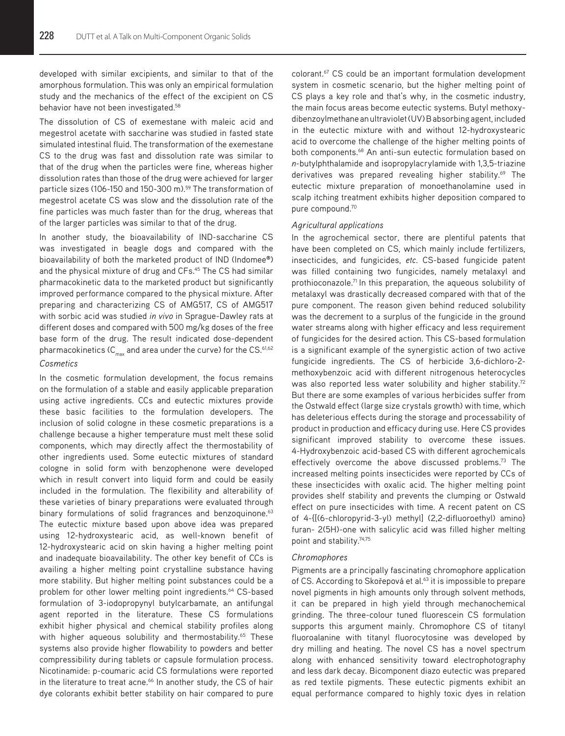developed with similar excipients, and similar to that of the amorphous formulation. This was only an empirical formulation study and the mechanics of the effect of the excipient on CS behavior have not been investigated.<sup>58</sup>

The dissolution of CS of exemestane with maleic acid and megestrol acetate with saccharine was studied in fasted state simulated intestinal fluid. The transformation of the exemestane CS to the drug was fast and dissolution rate was similar to that of the drug when the particles were fine, whereas higher dissolution rates than those of the drug were achieved for larger particle sizes (106-150 and 150-300 m).<sup>59</sup> The transformation of megestrol acetate CS was slow and the dissolution rate of the fine particles was much faster than for the drug, whereas that of the larger particles was similar to that of the drug.

In another study, the bioavailability of IND-saccharine CS was investigated in beagle dogs and compared with the bioavailability of both the marketed product of IND (Indomee**®**) and the physical mixture of drug and CFs.<sup>45</sup> The CS had similar pharmacokinetic data to the marketed product but significantly improved performance compared to the physical mixture. After preparing and characterizing CS of AMG517, CS of AMG517 with sorbic acid was studied *in vivo* in Sprague-Dawley rats at different doses and compared with 500 mg/kg doses of the free base form of the drug. The result indicated dose-dependent pharmacokinetics ( $C_{\text{max}}$  and area under the curve) for the CS.<sup>61,62</sup>

# *Cosmetics*

In the cosmetic formulation development, the focus remains on the formulation of a stable and easily applicable preparation using active ingredients. CCs and eutectic mixtures provide these basic facilities to the formulation developers. The inclusion of solid cologne in these cosmetic preparations is a challenge because a higher temperature must melt these solid components, which may directly affect the thermostability of other ingredients used. Some eutectic mixtures of standard cologne in solid form with benzophenone were developed which in result convert into liquid form and could be easily included in the formulation. The flexibility and alterability of these varieties of binary preparations were evaluated through binary formulations of solid fragrances and benzoquinone.<sup>63</sup> The eutectic mixture based upon above idea was prepared using 12-hydroxystearic acid, as well-known benefit of 12-hydroxystearic acid on skin having a higher melting point and inadequate bioavailability. The other key benefit of CCs is availing a higher melting point crystalline substance having more stability. But higher melting point substances could be a problem for other lower melting point ingredients.<sup>64</sup> CS-based formulation of 3-iodopropynyl butylcarbamate, an antifungal agent reported in the literature. These CS formulations exhibit higher physical and chemical stability profiles along with higher aqueous solubility and thermostability.<sup>65</sup> These systems also provide higher flowability to powders and better compressibility during tablets or capsule formulation process. Nicotinamide: p-coumaric acid CS formulations were reported in the literature to treat acne.<sup>66</sup> In another study, the CS of hair dye colorants exhibit better stability on hair compared to pure

colorant.67 CS could be an important formulation development system in cosmetic scenario, but the higher melting point of CS plays a key role and that's why, in the cosmetic industry, the main focus areas become eutectic systems. Butyl methoxydibenzoylmethane an ultraviolet (UV) B absorbing agent, included in the eutectic mixture with and without 12-hydroxystearic acid to overcome the challenge of the higher melting points of both components.68 An anti-sun eutectic formulation based on *n*-butylphthalamide and isopropylacrylamide with 1,3,5-triazine derivatives was prepared revealing higher stability.<sup>69</sup> The eutectic mixture preparation of monoethanolamine used in scalp itching treatment exhibits higher deposition compared to pure compound.70

## *Agricultural applications*

In the agrochemical sector, there are plentiful patents that have been completed on CS, which mainly include fertilizers, insecticides, and fungicides, *etc*. CS-based fungicide patent was filled containing two fungicides, namely metalaxyl and prothioconazole.<sup>71</sup> In this preparation, the aqueous solubility of metalaxyl was drastically decreased compared with that of the pure component. The reason given behind reduced solubility was the decrement to a surplus of the fungicide in the ground water streams along with higher efficacy and less requirement of fungicides for the desired action. This CS-based formulation is a significant example of the synergistic action of two active fungicide ingredients. The CS of herbicide 3,6-dichloro-2 methoxybenzoic acid with different nitrogenous heterocycles was also reported less water solubility and higher stability.<sup>72</sup> But there are some examples of various herbicides suffer from the Ostwald effect (large size crystals growth) with time, which has deleterious effects during the storage and processability of product in production and efficacy during use. Here CS provides significant improved stability to overcome these issues. 4-Hydroxybenzoic acid-based CS with different agrochemicals effectively overcome the above discussed problems.<sup>73</sup> The increased melting points insecticides were reported by CCs of these insecticides with oxalic acid. The higher melting point provides shelf stability and prevents the clumping or Ostwald effect on pure insecticides with time. A recent patent on CS of 4-{[(6-chloropyrid-3-yl) methyl] (2,2-difluoroethyl) amino} furan- 2(5H)-one with salicylic acid was filled higher melting point and stability.<sup>74,75</sup>

#### *Chromophores*

Pigments are a principally fascinating chromophore application of CS. According to Skořepová et al.<sup>63</sup> it is impossible to prepare novel pigments in high amounts only through solvent methods, it can be prepared in high yield through mechanochemical grinding. The three-colour tuned fluorescein CS formulation supports this argument mainly. Chromophore CS of titanyl fluoroalanine with titanyl fluorocytosine was developed by dry milling and heating. The novel CS has a novel spectrum along with enhanced sensitivity toward electrophotography and less dark decay. Bicomponent diazo eutectic was prepared as red textile pigments. These eutectic pigments exhibit an equal performance compared to highly toxic dyes in relation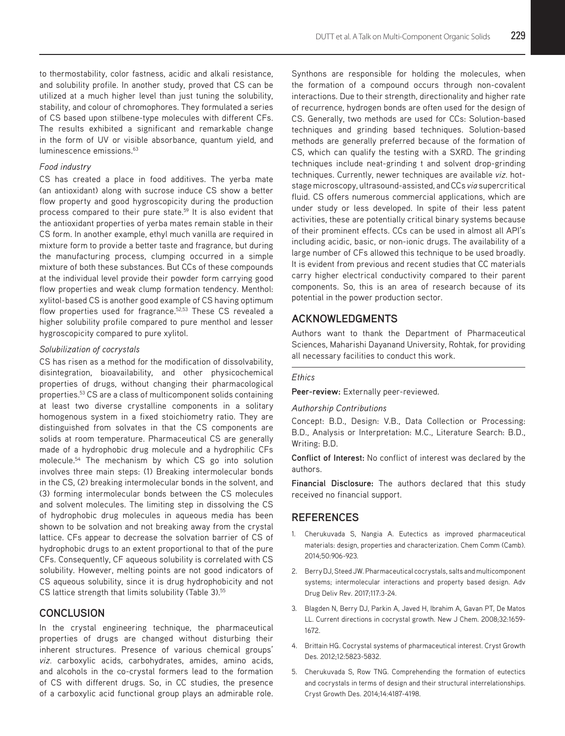to thermostability, color fastness, acidic and alkali resistance, and solubility profile. In another study, proved that CS can be utilized at a much higher level than just tuning the solubility, stability, and colour of chromophores. They formulated a series of CS based upon stilbene-type molecules with different CFs. The results exhibited a significant and remarkable change in the form of UV or visible absorbance, quantum yield, and luminescence emissions.<sup>63</sup>

# *Food industry*

CS has created a place in food additives. The yerba mate (an antioxidant) along with sucrose induce CS show a better flow property and good hygroscopicity during the production process compared to their pure state.<sup>59</sup> It is also evident that the antioxidant properties of yerba mates remain stable in their CS form. In another example, ethyl much vanilla are required in mixture form to provide a better taste and fragrance, but during the manufacturing process, clumping occurred in a simple mixture of both these substances. But CCs of these compounds at the individual level provide their powder form carrying good flow properties and weak clump formation tendency. Menthol: xylitol-based CS is another good example of CS having optimum flow properties used for fragrance.<sup>52,53</sup> These CS revealed a higher solubility profile compared to pure menthol and lesser hygroscopicity compared to pure xylitol.

# *Solubilization of cocrystals*

CS has risen as a method for the modification of dissolvability, disintegration, bioavailability, and other physicochemical properties of drugs, without changing their pharmacological properties.53 CS are a class of multicomponent solids containing at least two diverse crystalline components in a solitary homogenous system in a fixed stoichiometry ratio. They are distinguished from solvates in that the CS components are solids at room temperature. Pharmaceutical CS are generally made of a hydrophobic drug molecule and a hydrophilic CFs molecule.54 The mechanism by which CS go into solution involves three main steps: (1) Breaking intermolecular bonds in the CS, (2) breaking intermolecular bonds in the solvent, and (3) forming intermolecular bonds between the CS molecules and solvent molecules. The limiting step in dissolving the CS of hydrophobic drug molecules in aqueous media has been shown to be solvation and not breaking away from the crystal lattice. CFs appear to decrease the solvation barrier of CS of hydrophobic drugs to an extent proportional to that of the pure CFs. Consequently, CF aqueous solubility is correlated with CS solubility. However, melting points are not good indicators of CS aqueous solubility, since it is drug hydrophobicity and not CS lattice strength that limits solubility (Table 3).<sup>55</sup>

# **CONCLUSION**

In the crystal engineering technique, the pharmaceutical properties of drugs are changed without disturbing their inherent structures. Presence of various chemical groups' *viz.* carboxylic acids, carbohydrates, amides, amino acids, and alcohols in the co-crystal formers lead to the formation of CS with different drugs. So, in CC studies, the presence of a carboxylic acid functional group plays an admirable role.

Synthons are responsible for holding the molecules, when the formation of a compound occurs through non-covalent interactions. Due to their strength, directionality and higher rate of recurrence, hydrogen bonds are often used for the design of CS. Generally, two methods are used for CCs: Solution-based techniques and grinding based techniques. Solution-based methods are generally preferred because of the formation of CS, which can qualify the testing with a SXRD. The grinding techniques include neat-grinding t and solvent drop-grinding techniques. Currently, newer techniques are available *viz.* hotstage microscopy, ultrasound-assisted, and CCs *via* supercritical fluid. CS offers numerous commercial applications, which are under study or less developed. In spite of their less patent activities, these are potentially critical binary systems because of their prominent effects. CCs can be used in almost all API's including acidic, basic, or non-ionic drugs. The availability of a large number of CFs allowed this technique to be used broadly. It is evident from previous and recent studies that CC materials carry higher electrical conductivity compared to their parent components. So, this is an area of research because of its potential in the power production sector.

# **ACKNOWLEDGMENTS**

Authors want to thank the Department of Pharmaceutical Sciences, Maharishi Dayanand University, Rohtak, for providing all necessary facilities to conduct this work.

#### *Ethics*

**Peer-review:** Externally peer-reviewed.

#### *Authorship Contributions*

Concept: B.D., Design: V.B., Data Collection or Processing: B.D., Analysis or Interpretation: M.C., Literature Search: B.D., Writing: B.D.

**Conflict of Interest:** No conflict of interest was declared by the authors.

**Financial Disclosure:** The authors declared that this study received no financial support.

# **REFERENCES**

- 1. Cherukuvada S, Nangia A. Eutectics as improved pharmaceutical materials: design, properties and characterization. Chem Comm (Camb). 2014;50:906-923.
- 2. Berry DJ, Steed JW. Pharmaceutical cocrystals, salts and multicomponent systems; intermolecular interactions and property based design. Adv Drug Deliv Rev. 2017;117:3-24.
- 3. Blagden N, Berry DJ, Parkin A, Javed H, Ibrahim A, Gavan PT, De Matos LL. Current directions in cocrystal growth. New J Chem. 2008;32:1659- 1672.
- 4. Brittain HG. Cocrystal systems of pharmaceutical interest. Cryst Growth Des. 2012;12:5823-5832.
- 5. Cherukuvada S, Row TNG. Comprehending the formation of eutectics and cocrystals in terms of design and their structural interrelationships. Cryst Growth Des. 2014;14:4187-4198.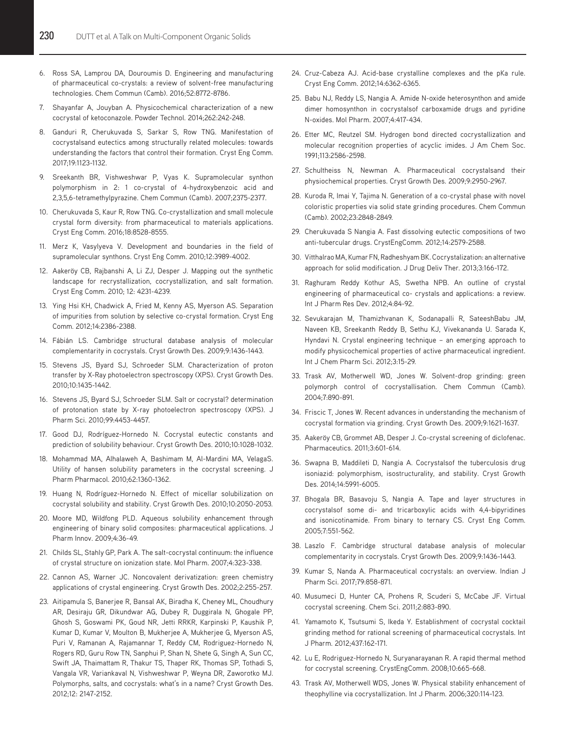- 6. Ross SA, Lamprou DA, Douroumis D. Engineering and manufacturing of pharmaceutical co-crystals: a review of solvent-free manufacturing technologies. Chem Commun (Camb). 2016;52:8772-8786.
- 7. Shayanfar A, Jouyban A. Physicochemical characterization of a new cocrystal of ketoconazole. Powder Technol. 2014;262:242-248.
- 8. Ganduri R, Cherukuvada S, Sarkar S, Row TNG. Manifestation of cocrystalsand eutectics among structurally related molecules: towards understanding the factors that control their formation. Cryst Eng Comm. 2017;19:1123-1132.
- 9. Sreekanth BR, Vishweshwar P, Vyas K. Supramolecular synthon polymorphism in 2: 1 co-crystal of 4-hydroxybenzoic acid and 2,3,5,6-tetramethylpyrazine. Chem Commun (Camb). 2007;2375-2377.
- 10. Cherukuvada S, Kaur R, Row TNG. Co-crystallization and small molecule crystal form diversity: from pharmaceutical to materials applications. Cryst Eng Comm. 2016;18:8528-8555.
- 11. Merz K, Vasylyeva V. Development and boundaries in the field of supramolecular synthons. Cryst Eng Comm. 2010;12:3989-4002.
- 12. Aakeröy CB, Rajbanshi A, Li ZJ, Desper J. Mapping out the synthetic landscape for recrystallization, cocrystallization, and salt formation. Cryst Eng Comm. 2010; 12: 4231-4239.
- 13. Ying Hsi KH, Chadwick A, Fried M, Kenny AS, Myerson AS. Separation of impurities from solution by selective co-crystal formation. Cryst Eng Comm. 2012;14:2386-2388.
- 14. Fábián LS. Cambridge structural database analysis of molecular complementarity in cocrystals. Cryst Growth Des. 2009;9:1436-1443.
- 15. Stevens JS, Byard SJ, Schroeder SLM. Characterization of proton transfer by X-Ray photoelectron spectroscopy (XPS). Cryst Growth Des. 2010;10:1435-1442.
- 16. Stevens JS, Byard SJ, Schroeder SLM. Salt or cocrystal? determination of protonation state by X-ray photoelectron spectroscopy (XPS). J Pharm Sci. 2010;99:4453-4457.
- 17. Good DJ, Rodríguez-Hornedo N. Cocrystal eutectic constants and prediction of solubility behaviour. Cryst Growth Des. 2010;10:1028-1032.
- 18. Mohammad MA, Alhalaweh A, Bashimam M, Al-Mardini MA, VelagaS. Utility of hansen solubility parameters in the cocrystal screening. J Pharm Pharmacol. 2010;62:1360-1362.
- 19. Huang N, Rodríguez-Hornedo N. Effect of micellar solubilization on cocrystal solubility and stability. Cryst Growth Des. 2010;10:2050-2053.
- 20. Moore MD, Wildfong PLD. Aqueous solubility enhancement through engineering of binary solid composites: pharmaceutical applications. J Pharm Innov. 2009;4:36-49.
- 21. Childs SL, Stahly GP, Park A. The salt-cocrystal continuum: the influence of crystal structure on ionization state. Mol Pharm. 2007;4:323-338.
- 22. Cannon AS, Warner JC. Noncovalent derivatization: green chemistry applications of crystal engineering. Cryst Growth Des. 2002;2:255-257.
- 23. Aitipamula S, Banerjee R, Bansal AK, Biradha K, Cheney ML, Choudhury AR, Desiraju GR, Dikundwar AG, Dubey R, Duggirala N, Ghogale PP, Ghosh S, Goswami PK, Goud NR, Jetti RRKR, Karpinski P, Kaushik P, Kumar D, Kumar V, Moulton B, Mukherjee A, Mukherjee G, Myerson AS, Puri V, Ramanan A, Rajamannar T, Reddy CM, Rodriguez-Hornedo N, Rogers RD, Guru Row TN, Sanphui P, Shan N, Shete G, Singh A, Sun CC, Swift JA, Thaimattam R, Thakur TS, Thaper RK, Thomas SP, Tothadi S, Vangala VR, Variankaval N, Vishweshwar P, Weyna DR, Zaworotko MJ. Polymorphs, salts, and cocrystals: what's in a name? Cryst Growth Des. 2012;12: 2147-2152.
- 24. Cruz-Cabeza AJ. Acid-base crystalline complexes and the pKa rule. Cryst Eng Comm. 2012;14:6362-6365.
- 25. Babu NJ, Reddy LS, Nangia A. Amide N-oxide heterosynthon and amide dimer homosynthon in cocrystalsof carboxamide drugs and pyridine N-oxides. Mol Pharm. 2007;4:417-434.
- 26. Etter MC, Reutzel SM. Hydrogen bond directed cocrystallization and molecular recognition properties of acyclic imides. J Am Chem Soc. 1991;113:2586-2598.
- 27. Schultheiss N, Newman A. Pharmaceutical cocrystalsand their physiochemical properties. Cryst Growth Des. 2009;9:2950-2967.
- 28. Kuroda R, Imai Y, Tajima N. Generation of a co-crystal phase with novel coloristic properties via solid state grinding procedures. Chem Commun (Camb). 2002;23:2848-2849.
- 29. Cherukuvada S Nangia A. Fast dissolving eutectic compositions of two anti-tubercular drugs. CrystEngComm. 2012;14:2579-2588.
- 30. Vitthalrao MA, Kumar FN, Radheshyam BK. Cocrystalization: an alternative approach for solid modification. J Drug Deliv Ther. 2013;3:166-172.
- 31. Raghuram Reddy Kothur AS, Swetha NPB. An outline of crystal engineering of pharmaceutical co- crystals and applications: a review. Int J Pharm Res Dev. 2012;4:84-92.
- 32. Sevukarajan M, Thamizhvanan K, Sodanapalli R, SateeshBabu JM, Naveen KB, Sreekanth Reddy B, Sethu KJ, Vivekananda U. Sarada K, Hyndavi N. Crystal engineering technique – an emerging approach to modify physicochemical properties of active pharmaceutical ingredient. Int J Chem Pharm Sci. 2012;3:15-29.
- 33. Trask AV, Motherwell WD, Jones W. Solvent-drop grinding: green polymorph control of cocrystallisation. Chem Commun (Camb). 2004;7:890-891.
- 34. Friscic T, Jones W. Recent advances in understanding the mechanism of cocrystal formation via grinding. Cryst Growth Des. 2009;9:1621-1637.
- 35. Aakeröy CB, Grommet AB, Desper J. Co-crystal screening of diclofenac. Pharmaceutics. 2011;3:601-614.
- 36. Swapna B, Maddileti D, Nangia A. Cocrystalsof the tuberculosis drug isoniazid: polymorphism, isostructurality, and stability. Cryst Growth Des. 2014;14:5991-6005.
- 37. Bhogala BR, Basavoju S, Nangia A. Tape and layer structures in cocrystalsof some di- and tricarboxylic acids with 4,4-bipyridines and isonicotinamide. From binary to ternary CS. Cryst Eng Comm. 2005;7:551-562.
- 38. Laszlo F. Cambridge structural database analysis of molecular complementarity in cocrystals. Cryst Growth Des. 2009;9:1436-1443.
- 39. Kumar S, Nanda A. Pharmaceutical cocrystals: an overview. Indian J Pharm Sci. 2017;79:858-871.
- 40. Musumeci D, Hunter CA, Prohens R, Scuderi S, McCabe JF. Virtual cocrystal screening. Chem Sci. 2011;2:883-890.
- 41. Yamamoto K, Tsutsumi S, Ikeda Y. Establishment of cocrystal cocktail grinding method for rational screening of pharmaceutical cocrystals. Int J Pharm. 2012;437:162-171.
- 42. Lu E, Rodriguez-Hornedo N, Suryanarayanan R. A rapid thermal method for cocrystal screening. CrystEngComm. 2008;10:665-668.
- 43. Trask AV, Motherwell WDS, Jones W. Physical stability enhancement of theophylline via cocrystallization. Int J Pharm. 2006;320:114-123.